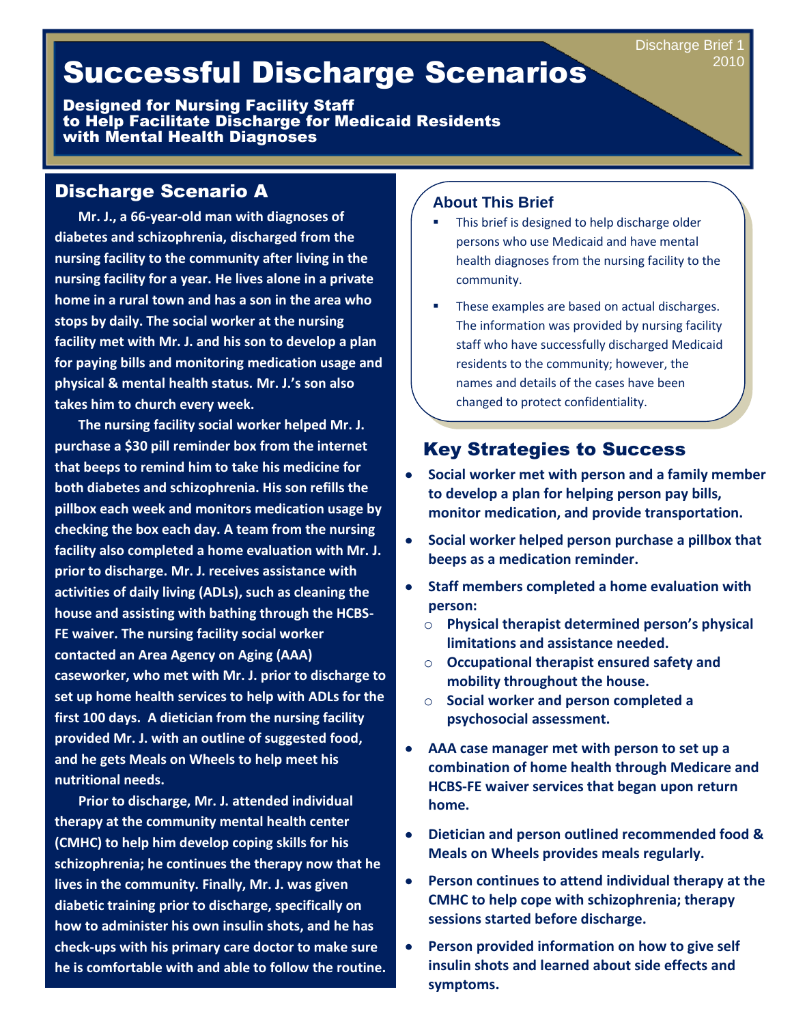# Successful Discharge Scenarios

Designed for Nursing Facility Staff to Help Facilitate Discharge for Medicaid Residents with Mental Health Diagnoses

## Discharge Scenario A

 **Mr. J., a 66-year-old man with diagnoses of diabetes and schizophrenia, discharged from the nursing facility to the community after living in the nursing facility for a year. He lives alone in a private home in a rural town and has a son in the area who stops by daily. The social worker at the nursing facility met with Mr. J. and his son to develop a plan for paying bills and monitoring medication usage and physical & mental health status. Mr. J.'s son also takes him to church every week.** 

 **The nursing facility social worker helped Mr. J. purchase a \$30 pill reminder box from the internet that beeps to remind him to take his medicine for both diabetes and schizophrenia. His son refills the pillbox each week and monitors medication usage by checking the box each day. A team from the nursing facility also completed a home evaluation with Mr. J. prior to discharge. Mr. J. receives assistance with activities of daily living (ADLs), such as cleaning the house and assisting with bathing through the HCBS-FE waiver. The nursing facility social worker contacted an Area Agency on Aging (AAA) caseworker, who met with Mr. J. prior to discharge to set up home health services to help with ADLs for the first 100 days. A dietician from the nursing facility provided Mr. J. with an outline of suggested food, and he gets Meals on Wheels to help meet his nutritional needs.** 

 **Prior to discharge, Mr. J. attended individual therapy at the community mental health center (CMHC) to help him develop coping skills for his schizophrenia; he continues the therapy now that he lives in the community. Finally, Mr. J. was given diabetic training prior to discharge, specifically on how to administer his own insulin shots, and he has check-ups with his primary care doctor to make sure he is comfortable with and able to follow the routine.**

#### **About This Brief**

- This brief is designed to help discharge older persons who use Medicaid and have mental health diagnoses from the nursing facility to the community.
- These examples are based on actual discharges. The information was provided by nursing facility staff who have successfully discharged Medicaid residents to the community; however, the names and details of the cases have been changed to protect confidentiality.

# Key Strategies to Success

- **Social worker met with person and a family member to develop a plan for helping person pay bills, monitor medication, and provide transportation.**
- **Social worker helped person purchase a pillbox that**   $\bullet$ **beeps as a medication reminder.**
- **Staff members completed a home evaluation with person:**
	- o **Physical therapist determined person's physical limitations and assistance needed.**
	- o **Occupational therapist ensured safety and mobility throughout the house.**
	- o **Social worker and person completed a psychosocial assessment.**
- **AAA case manager met with person to set up a**   $\bullet$ **combination of home health through Medicare and HCBS-FE waiver services that began upon return home.**
- **Dietician and person outlined recommended food &**   $\bullet$ **Meals on Wheels provides meals regularly.**
- $\bullet$ **Person continues to attend individual therapy at the CMHC to help cope with schizophrenia; therapy sessions started before discharge.**
- $\bullet$ **Person provided information on how to give self insulin shots and learned about side effects and symptoms.**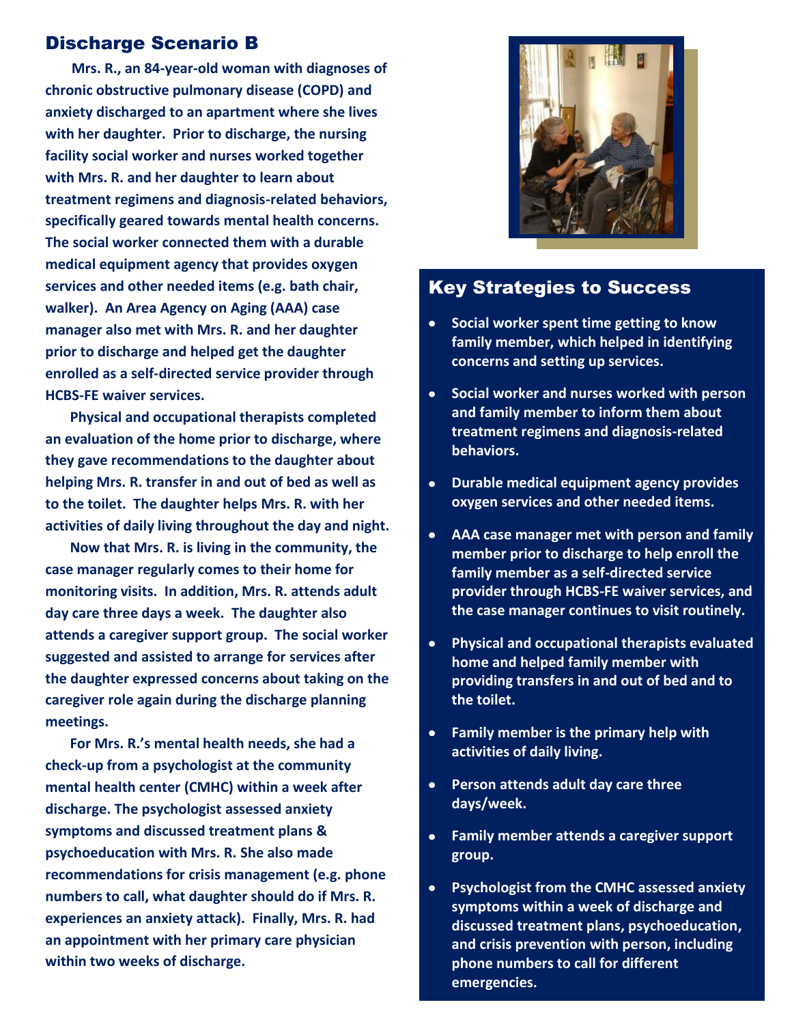#### Discharge Scenario B

 **Mrs. R., an 84-year-old woman with diagnoses of chronic obstructive pulmonary disease (COPD) and anxiety discharged to an apartment where she lives with her daughter. Prior to discharge, the nursing facility social worker and nurses worked together with Mrs. R. and her daughter to learn about treatment regimens and diagnosis-related behaviors, specifically geared towards mental health concerns. The social worker connected them with a durable medical equipment agency that provides oxygen services and other needed items (e.g. bath chair, walker). An Area Agency on Aging (AAA) case manager also met with Mrs. R. and her daughter prior to discharge and helped get the daughter enrolled as a self-directed service provider through HCBS-FE waiver services.** 

 **Physical and occupational therapists completed an evaluation of the home prior to discharge, where they gave recommendations to the daughter about helping Mrs. R. transfer in and out of bed as well as to the toilet. The daughter helps Mrs. R. with her activities of daily living throughout the day and night.** 

 **Now that Mrs. R. is living in the community, the case manager regularly comes to their home for monitoring visits. In addition, Mrs. R. attends adult day care three days a week. The daughter also attends a caregiver support group. The social worker suggested and assisted to arrange for services after the daughter expressed concerns about taking on the caregiver role again during the discharge planning meetings.** 

 **For Mrs. R.'s mental health needs, she had a check-up from a psychologist at the community mental health center (CMHC) within a week after discharge. The psychologist assessed anxiety symptoms and discussed treatment plans & psychoeducation with Mrs. R. She also made recommendations for crisis management (e.g. phone numbers to call, what daughter should do if Mrs. R. experiences an anxiety attack). Finally, Mrs. R. had an appointment with her primary care physician within two weeks of discharge.** 



## Key Strategies to Success

- **Social worker spent time getting to know family member, which helped in identifying concerns and setting up services.**
- **Social worker and nurses worked with person**  $\bullet$ **and family member to inform them about treatment regimens and diagnosis-related behaviors.**
- **Durable medical equipment agency provides**   $\bullet$ **oxygen services and other needed items.**
- **AAA case manager met with person and family member prior to discharge to help enroll the family member as a self-directed service provider through HCBS-FE waiver services, and the case manager continues to visit routinely.**
- **Physical and occupational therapists evaluated home and helped family member with providing transfers in and out of bed and to the toilet.**
- $\bullet$  . **Family member is the primary help with activities of daily living.**
- $\bullet$ **Person attends adult day care three days/week.**
- **Family member attends a caregiver support group.**
- **Psychologist from the CMHC assessed anxiety symptoms within a week of discharge and discussed treatment plans, psychoeducation, and crisis prevention with person, including phone numbers to call for different emergencies.**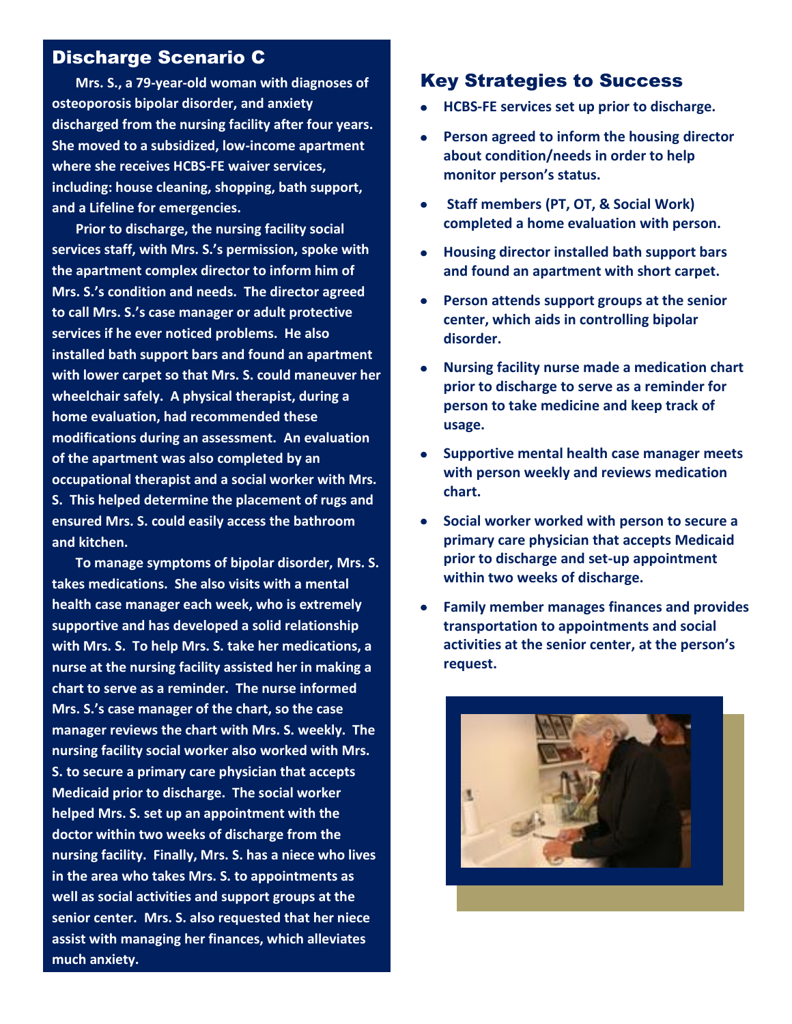#### Discharge Scenario C

 **Mrs. S., a 79-year-old woman with diagnoses of osteoporosis bipolar disorder, and anxiety discharged from the nursing facility after four years. She moved to a subsidized, low-income apartment where she receives HCBS-FE waiver services, including: house cleaning, shopping, bath support, and a Lifeline for emergencies.** 

 **Prior to discharge, the nursing facility social services staff, with Mrs. S.'s permission, spoke with the apartment complex director to inform him of Mrs. S.'s condition and needs. The director agreed to call Mrs. S.'s case manager or adult protective services if he ever noticed problems. He also installed bath support bars and found an apartment with lower carpet so that Mrs. S. could maneuver her wheelchair safely. A physical therapist, during a home evaluation, had recommended these modifications during an assessment. An evaluation of the apartment was also completed by an occupational therapist and a social worker with Mrs. S. This helped determine the placement of rugs and ensured Mrs. S. could easily access the bathroom and kitchen.** 

 **To manage symptoms of bipolar disorder, Mrs. S. takes medications. She also visits with a mental health case manager each week, who is extremely supportive and has developed a solid relationship with Mrs. S. To help Mrs. S. take her medications, a nurse at the nursing facility assisted her in making a chart to serve as a reminder. The nurse informed Mrs. S.'s case manager of the chart, so the case manager reviews the chart with Mrs. S. weekly. The nursing facility social worker also worked with Mrs. S. to secure a primary care physician that accepts Medicaid prior to discharge. The social worker helped Mrs. S. set up an appointment with the doctor within two weeks of discharge from the nursing facility. Finally, Mrs. S. has a niece who lives in the area who takes Mrs. S. to appointments as well as social activities and support groups at the senior center. Mrs. S. also requested that her niece assist with managing her finances, which alleviates much anxiety.** 

## Key Strategies to Success

- **HCBS-FE services set up prior to discharge.**
- **Person agreed to inform the housing director about condition/needs in order to help monitor person's status.**
- **Staff members (PT, OT, & Social Work) completed a home evaluation with person.**
- **Housing director installed bath support bars and found an apartment with short carpet.**
- **Person attends support groups at the senior center, which aids in controlling bipolar disorder.**
- **Nursing facility nurse made a medication chart prior to discharge to serve as a reminder for person to take medicine and keep track of usage.**
- **Supportive mental health case manager meets with person weekly and reviews medication chart.**
- **Social worker worked with person to secure a primary care physician that accepts Medicaid prior to discharge and set-up appointment within two weeks of discharge.**
- **Family member manages finances and provides transportation to appointments and social activities at the senior center, at the person's request.**